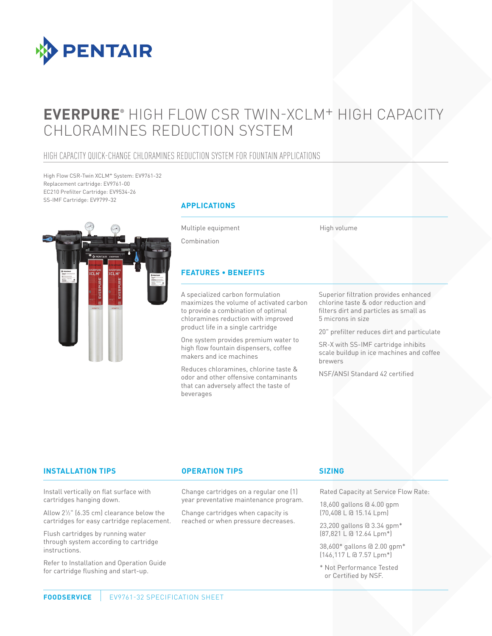

# **EVERPURE®** HIGH FLOW CSR TWIN-XCLM+ HIGH CAPACITY CHLORAMINES REDUCTION SYSTEM

### HIGH CAPACITY QUICK-CHANGE CHLORAMINES REDUCTION SYSTEM FOR FOUNTAIN APPLICATIONS

High Flow CSR-Twin XCLM+ System: EV9761-32 Replacement cartridge: EV9761-00 EC210 Prefilter Cartridge: EV9534-26 SS-IMF Cartridge: EV9799-32



### **APPLICATIONS**

Multiple equipment

High volume

Combination

### **FEATURES • BENEFITS**

A specialized carbon formulation maximizes the volume of activated carbon to provide a combination of optimal chloramines reduction with improved product life in a single cartridge

One system provides premium water to high flow fountain dispensers, coffee makers and ice machines

Reduces chloramines, chlorine taste & odor and other offensive contaminants that can adversely affect the taste of beverages

Superior filtration provides enhanced chlorine taste & odor reduction and filters dirt and particles as small as 5 microns in size

20" prefilter reduces dirt and particulate

SR-X with SS-IMF cartridge inhibits scale buildup in ice machines and coffee brewers

NSF/ANSI Standard 42 certified

### **INSTALLATION TIPS OPERATION TIPS**

Change cartridges on a regular one (1) year preventative maintenance program.

Change cartridges when capacity is reached or when pressure decreases.

### **SIZING**

Rated Capacity at Service Flow Rate:

18,600 gallons @ 4.00 gpm (70,408 L @ 15.14 Lpm)

23,200 gallons @ 3.34 gpm\* (87,821 L @ 12.64 Lpm\*)

38,600\* gallons @ 2.00 gpm\*  $(146, 117 \text{ L} \text{ G } 7.57 \text{ Lpm}^*)$ 

\* Not Performance Tested or Certified by NSF.

Install vertically on flat surface with cartridges hanging down.

Allow 21 ⁄2" (6.35 cm) clearance below the cartridges for easy cartridge replacement.

Flush cartridges by running water through system according to cartridge instructions.

Refer to Installation and Operation Guide for cartridge flushing and start-up.